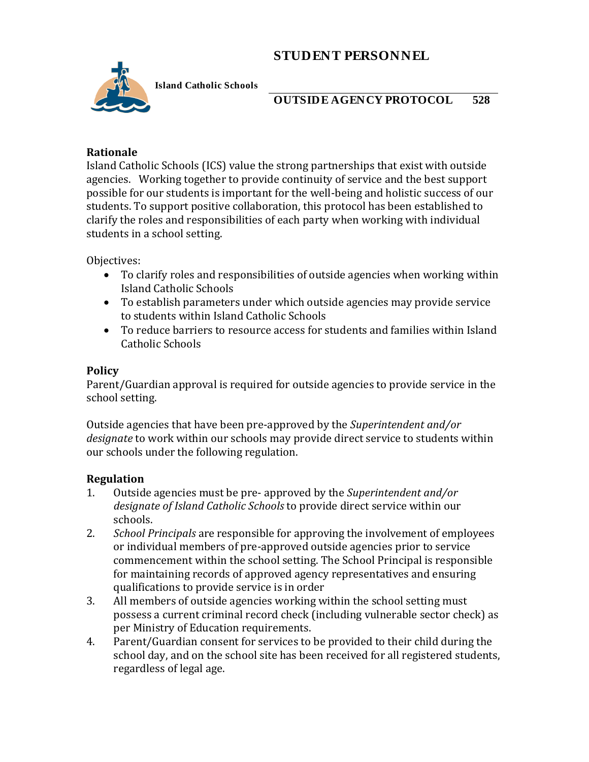# **STUDENT PERSONNEL**



**Island Catholic Schools** 

## **OUTSIDE AGENCY PROTOCOL 528**

### **Rationale**

Island Catholic Schools (ICS) value the strong partnerships that exist with outside agencies. Working together to provide continuity of service and the best support possible for our students is important for the well-being and holistic success of our students. To support positive collaboration, this protocol has been established to clarify the roles and responsibilities of each party when working with individual students in a school setting.

Objectives:

- To clarify roles and responsibilities of outside agencies when working within Island Catholic Schools
- To establish parameters under which outside agencies may provide service to students within Island Catholic Schools
- To reduce barriers to resource access for students and families within Island Catholic Schools

#### **Policy**

Parent/Guardian approval is required for outside agencies to provide service in the school setting.

Outside agencies that have been pre-approved by the *Superintendent and/or designate* to work within our schools may provide direct service to students within our schools under the following regulation.

### **Regulation**

- 1. Outside agencies must be pre- approved by the *Superintendent and/or designate of Island Catholic Schools* to provide direct service within our schools.
- 2. *School Principals* are responsible for approving the involvement of employees or individual members of pre-approved outside agencies prior to service commencement within the school setting. The School Principal is responsible for maintaining records of approved agency representatives and ensuring qualifications to provide service is in order
- 3. All members of outside agencies working within the school setting must possess a current criminal record check (including vulnerable sector check) as per Ministry of Education requirements.
- 4. Parent/Guardian consent for services to be provided to their child during the school day, and on the school site has been received for all registered students, regardless of legal age.